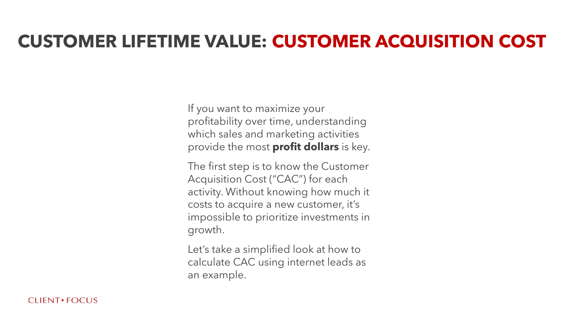If you want to maximize your profitability over time, understanding which sales and marketing activities provide the most **profit dollars** is key.

The first step is to know the Customer Acquisition Cost ("CAC") for each activity. Without knowing how much it costs to acquire a new customer, it's impossible to prioritize investments in growth.

Let's take a simplified look at how to calculate CAC using internet leads as an example.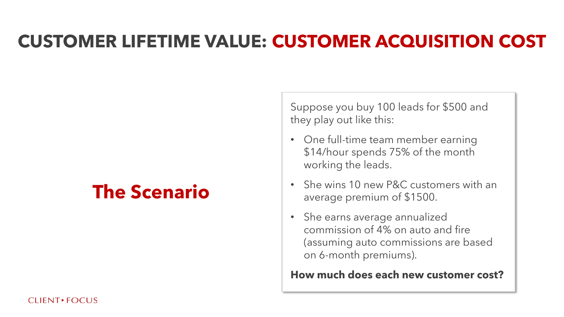# **The Scenario**

Suppose you buy 100 leads for \$500 and they play out like this:

- One full-time team member earning \$14/hour spends 75% of the month working the leads.
- She wins 10 new P&C customers with an average premium of \$1500.
- She earns average annualized commission of 4% on auto and fire (assuming auto commissions are based on 6-month premiums).

**How much does each new customer cost?**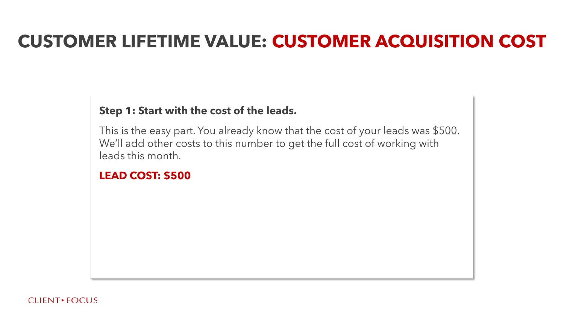#### **Step 1: Start with the cost of the leads.**

This is the easy part. You already know that the cost of your leads was \$500. We'll add other costs to this number to get the full cost of working with leads this month.

#### **LEAD COST: \$500**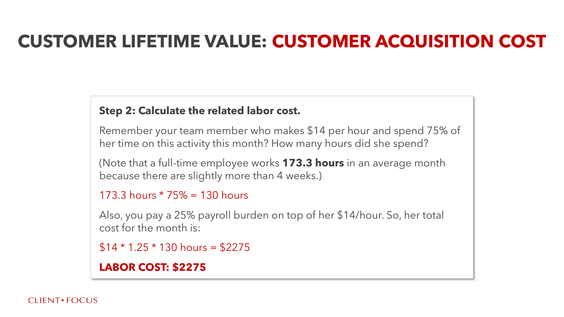#### **Step 2: Calculate the related labor cost.**

Remember your team member who makes \$14 per hour and spend 75% of her time on this activity this month? How many hours did she spend?

(Note that a full-time employee works **173.3 hours** in an average month because there are slightly more than 4 weeks.)

```
173.3 hours * 75% = 130 hours
```
Also, you pay a 25% payroll burden on top of her \$14/hour. So, her total cost for the month is:

```
$14 * 1.25 * 130 hours = $2275
```
**LABOR COST: \$2275**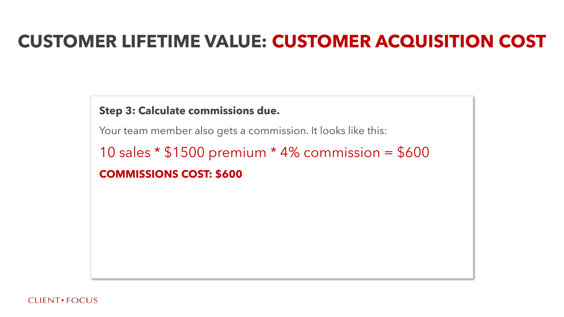#### **Step 3: Calculate commissions due.**

Your team member also gets a commission. It looks like this:

10 sales \* \$1500 premium \* 4% commission = \$600 **COMMISSIONS COST: \$600**

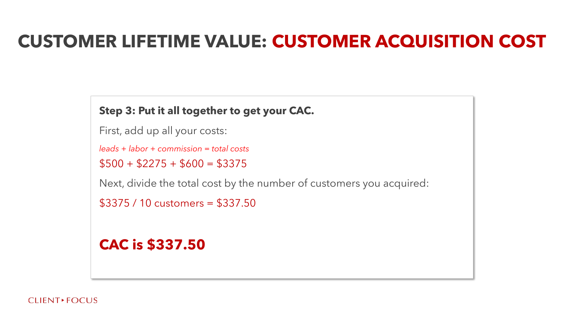#### **Step 3: Put it all together to get your CAC.**

First, add up all your costs:

*leads + labor + commission = total costs*

 $$500 + $2275 + $600 = $3375$ 

Next, divide the total cost by the number of customers you acquired:

\$3375 / 10 customers = \$337.50

#### **CAC is \$337.50**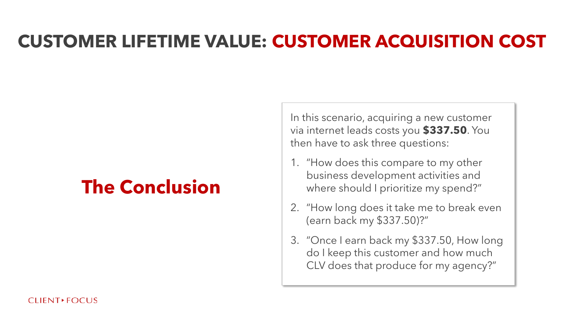## **The Conclusion**

In this scenario, acquiring a new customer via internet leads costs you **\$337.50**. You then have to ask three questions:

- 1. "How does this compare to my other business development activities and where should I prioritize my spend?"
- 2. "How long does it take me to break even (earn back my \$337.50)?"
- 3. "Once I earn back my \$337.50, How long do I keep this customer and how much CLV does that produce for my agency?"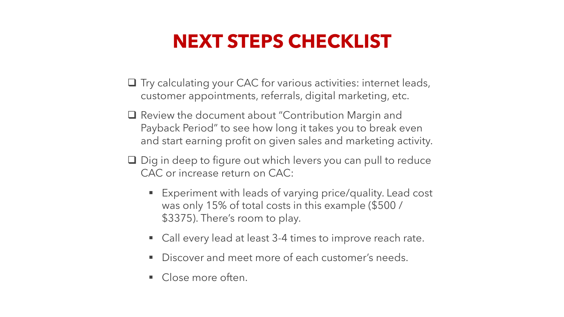## **NEXT STEPS CHECKLIST**

- ❑ Try calculating your CAC for various activities: internet leads, customer appointments, referrals, digital marketing, etc.
- ❑ Review the document about "Contribution Margin and Payback Period" to see how long it takes you to break even and start earning profit on given sales and marketing activity.
- ❑ Dig in deep to figure out which levers you can pull to reduce CAC or increase return on CAC:
	- Experiment with leads of varying price/quality. Lead cost was only 15% of total costs in this example (\$500 / \$3375). There's room to play.
	- Call every lead at least 3-4 times to improve reach rate.
	- Discover and meet more of each customer's needs.
	- Close more often.